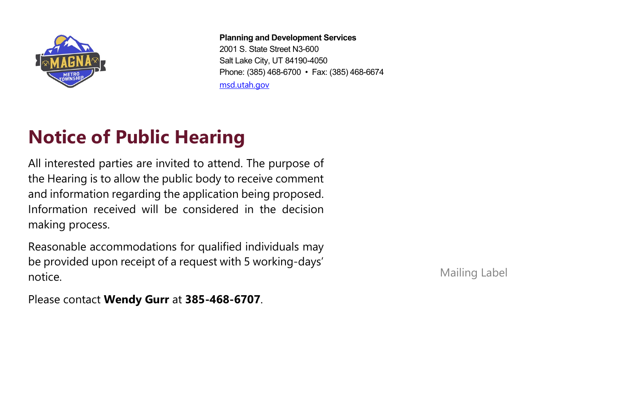

**Planning and Development Services**

2001 S. State Street N3-600 Salt Lake City, UT 84190-4050 Phone: (385) 468-6700 • Fax: (385) 468-6674 [msd.utah.gov](https://msd.utah.gov/msd-home/pds/)

## **Notice of Public Hearing**

All interested parties are invited to attend. The purpose of the Hearing is to allow the public body to receive comment and information regarding the application being proposed. Information received will be considered in the decision making process.

Reasonable accommodations for qualified individuals may be provided upon receipt of a request with 5 working-days' notice.

Mailing Label

Please contact **Wendy Gurr** at **385-468-6707**.